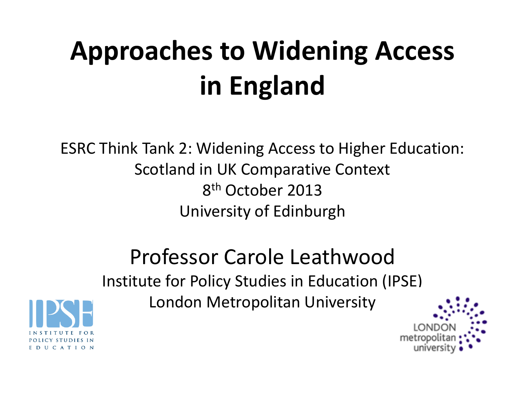# **Approaches to Widening Access in England**

ESRC Think Tank 2: Widening Access to Higher Education: Scotland in UK Comparative Context 8 th October 2013 University of Edinburgh

> Professor Carole Leathwood Institute for Policy Studies in Education (IPSE)

London Metropolitan University



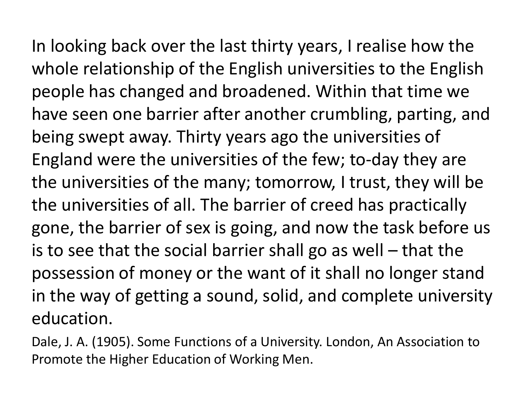In looking back over the last thirty years, I realise how the whole relationship of the English universities to the English people has changed and broadened. Within that time we have seen one barrier after another crumbling, parting, and being swept away. Thirty years ago the universities of England were the universities of the few; to-day they are the universities of the many; tomorrow, I trust, they will be the universities of all. The barrier of creed has practically gone, the barrier of sex is going, and now the task before us is to see that the social barrier shall go as well – that the possession of money or the want of it shall no longer stand in the way of getting a sound, solid, and complete university education.

Dale, J. A. (1905). Some Functions of a University. London, An Association to Promote the Higher Education of Working Men.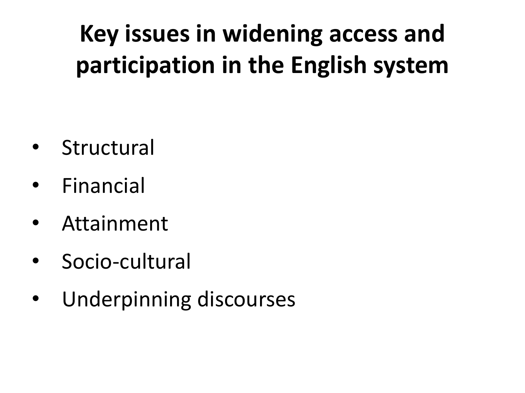# **Key issues in widening access and participation in the English system**

- Structural
- **Financial**
- **Attainment**
- Socio-cultural
- Underpinning discourses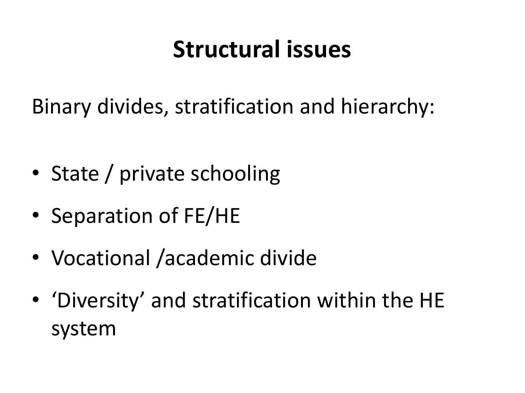#### **Structural issues**

Binary divides, stratification and hierarchy:

- State / private schooling
- Separation of FE/HE
- Vocational /academic divide
- 'Diversity' and stratification within the HE system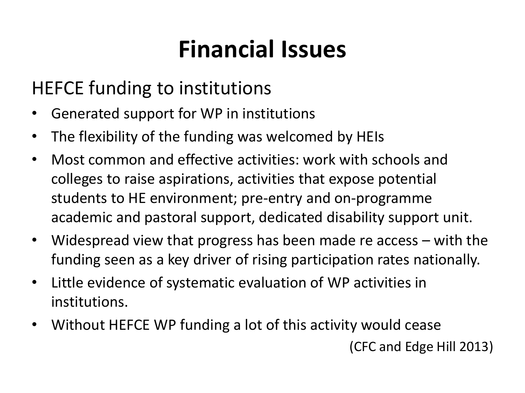## **Financial Issues**

#### HEFCE funding to institutions

- Generated support for WP in institutions
- The flexibility of the funding was welcomed by HEIs
- Most common and effective activities: work with schools and colleges to raise aspirations, activities that expose potential students to HE environment; pre-entry and on-programme academic and pastoral support, dedicated disability support unit.
- Widespread view that progress has been made re access with the funding seen as a key driver of rising participation rates nationally.
- Little evidence of systematic evaluation of WP activities in institutions.
- Without HEFCE WP funding a lot of this activity would cease (CFC and Edge Hill 2013)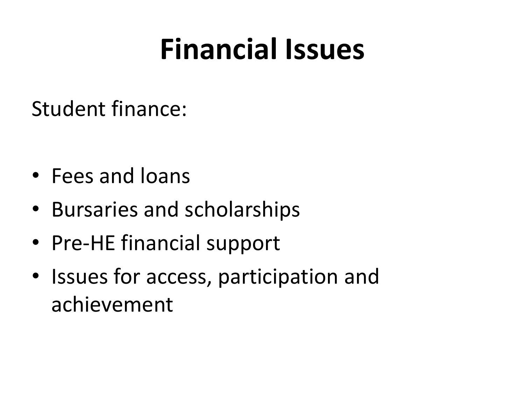# **Financial Issues**

Student finance:

- Fees and loans
- Bursaries and scholarships
- Pre-HE financial support
- Issues for access, participation and achievement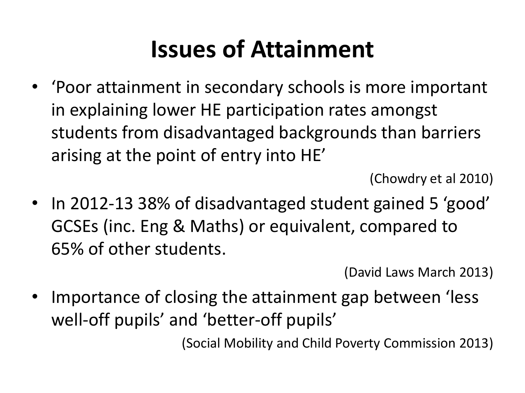### **Issues of Attainment**

• 'Poor attainment in secondary schools is more important in explaining lower HE participation rates amongst students from disadvantaged backgrounds than barriers arising at the point of entry into HE'

(Chowdry et al 2010)

• In 2012-13 38% of disadvantaged student gained 5 'good' GCSEs (inc. Eng & Maths) or equivalent, compared to 65% of other students.

(David Laws March 2013)

Importance of closing the attainment gap between 'less well-off pupils' and 'better-off pupils'

(Social Mobility and Child Poverty Commission 2013)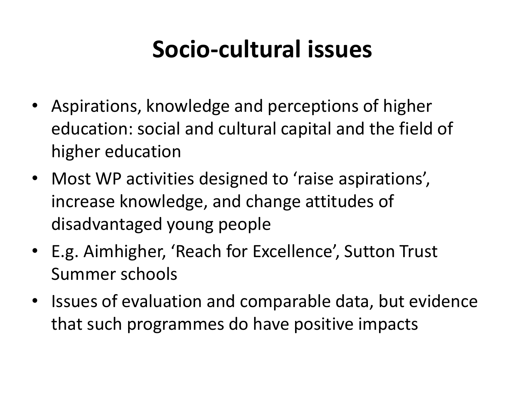## **Socio-cultural issues**

- Aspirations, knowledge and perceptions of higher education: social and cultural capital and the field of higher education
- Most WP activities designed to 'raise aspirations', increase knowledge, and change attitudes of disadvantaged young people
- E.g. Aimhigher, 'Reach for Excellence', Sutton Trust Summer schools
- Issues of evaluation and comparable data, but evidence that such programmes do have positive impacts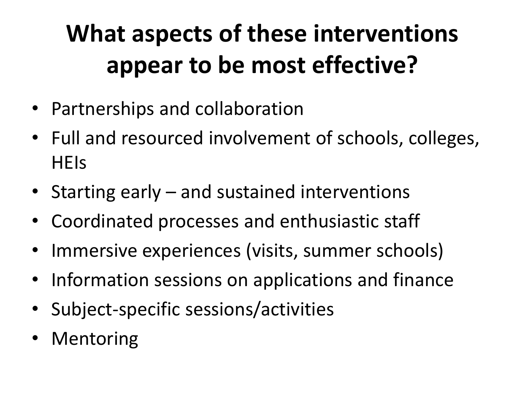# **What aspects of these interventions appear to be most effective?**

- Partnerships and collaboration
- Full and resourced involvement of schools, colleges, **HEIS**
- Starting early and sustained interventions
- Coordinated processes and enthusiastic staff
- Immersive experiences (visits, summer schools)
- Information sessions on applications and finance
- Subject-specific sessions/activities
- Mentoring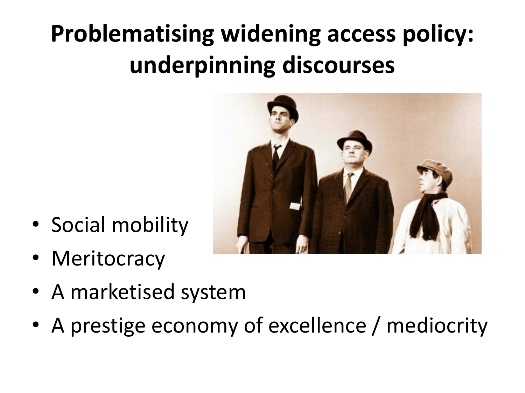# **Problematising widening access policy: underpinning discourses**



- Social mobility
- Meritocracy
- A marketised system
- A prestige economy of excellence / mediocrity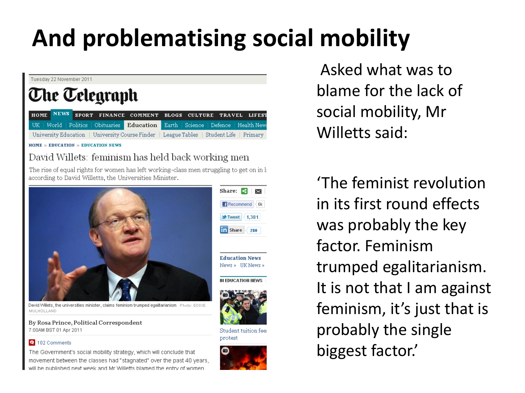# **And problematising social mobility**



By Rosa Prince, Political Correspondent 7:00AM BST 01 Apr 2011

#### 102 Comments

The Government's social mobility strategy, which will conclude that movement between the classes had "stagnated" over the past 40 years, he nublished next week and Mr Willetts blamed the entry of women

Student tuition fee: protest



Asked what was to blame for the lack of social mobility, Mr Willetts said:

'The feminist revolution in its first round effects was probably the key factor. Feminism trumped egalitarianism. It is not that I am against feminism, it's just that is probably the single biggest factor.'